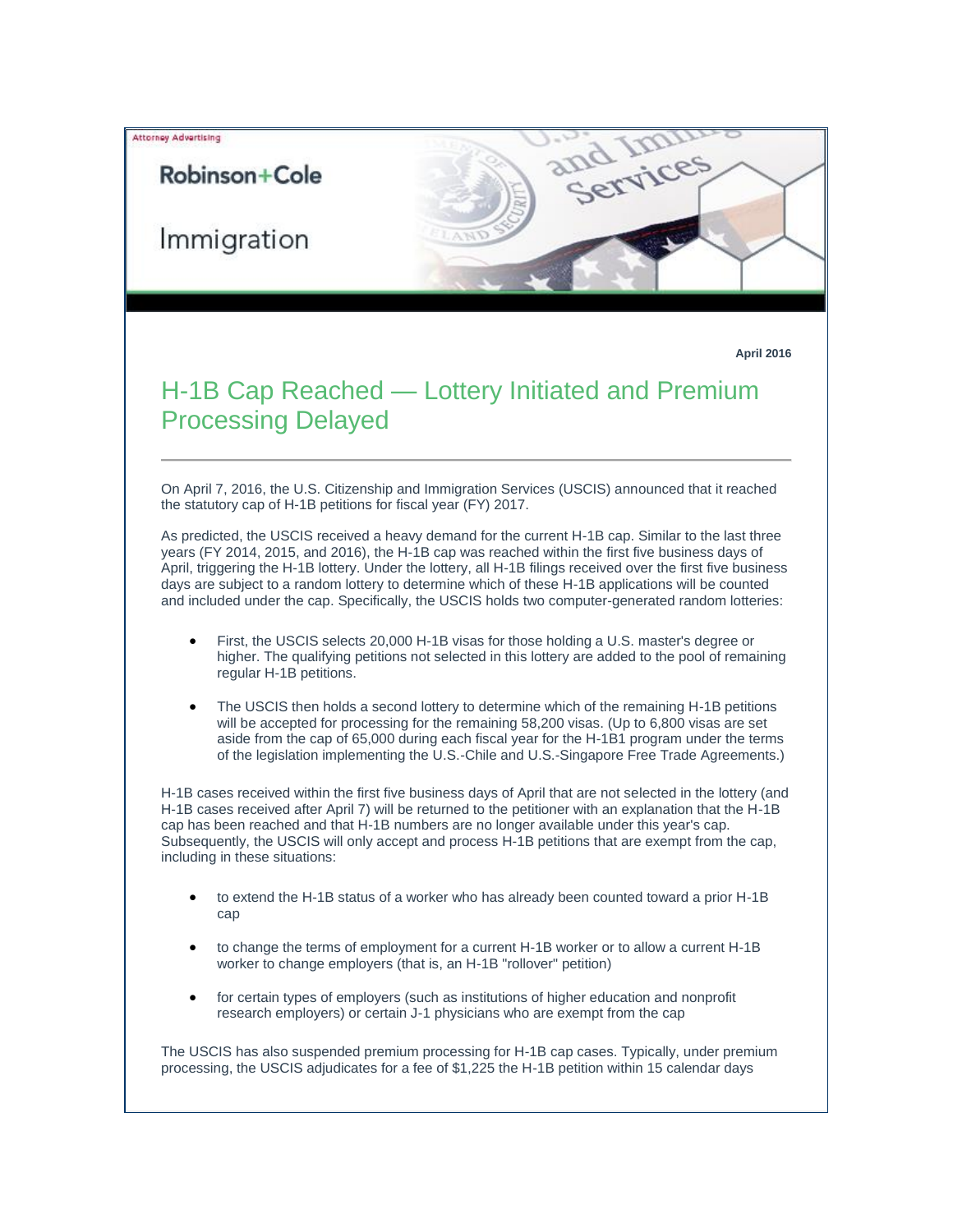